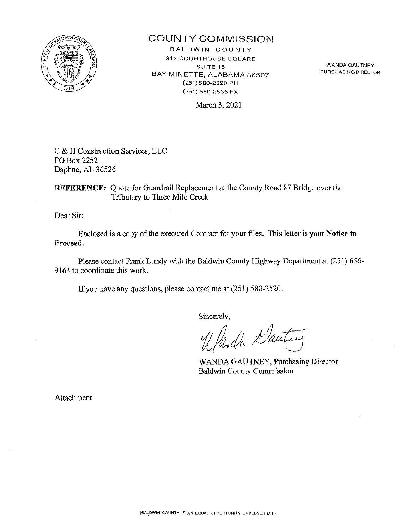

## COUNTY COMMiSSION

BALDWIN COUNTY 312 COURTHOUSE SQUARE **SUITE 15**  BAY MINETTE, ALABAMA 36507 (251) 580-2520 PH (251) 580-2536 FX

WANDA GAUTNEY **PURCHASING DIRECTOR** 

March 3, 2021

C & H Construction Services, LLC PO Box 2252 Daphne, AL 36526

REFERENCE: Quote for Guardrail Replacement at the County Road 87 Bridge over the Tributary to Three Mile Creek

Dear Sir:

Enclosed is a copy of the executed Contract for your files. This letter is your Notice to Proceed.

Please contact Frank Lundy with the Baldwin County Highway Department at (251) 656-9163 to coordinate this work.

If you have any questions, please contact me at (251) 580-2520.

Sincerely,<br>Warda Dautrez

WANDA GAUTNEY, Purchasing Director Baldwin County Commission

Attachment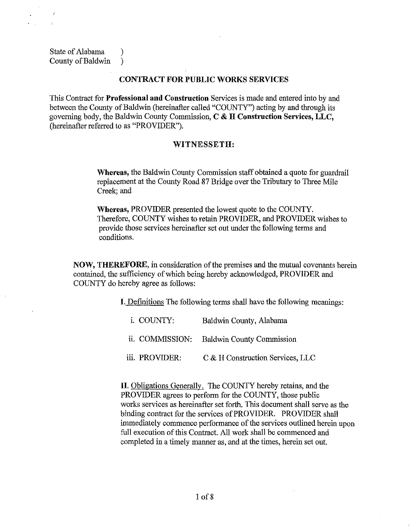State of Alabama (1) County of Baldwin )

 $\mathcal{L}$ Ŷ.

### CONTRACT FOR PUBLIC WORKS SERVICES

This Contract for Professional and Construction Services is made and entered into by and between the County of Baldwin (hereinafter called "COUNTY") acting by and through its governing body, the Baldwin County Commission,  $C \& H$  Construction Services, LLC, (hereinafter referred to as "PROVIDER").

## WITNESSETH:

Whereas, the Baldwin County Commission staff obtained a quote for guardrail replacement at the County Road 87 Bridge over the Tributary to Three Mile Creek; and

Whereas, PROVIDER presented the lowest quote to the COUNTY. Therefore, COUNTY wishes to retain PROVIDER, and PROVIDER wishes to provide those services hereinafter set out under the following terms and conditions.

NOW, THEREFORE, in consideration of the premises and the mutual covenants herein contained, the sufficiency of which being hereby acknowledged, PROVIDER and COUNTY do hereby agree as follows:

I. Definitions The following terms shall have the following meanings:

| <i>i</i> . COUNTY: | Baldwin County, Alabama                   |
|--------------------|-------------------------------------------|
|                    | ii. COMMISSION: Baldwin County Commission |
| iii. PROVIDER:     | C & H Construction Services, LLC          |

II. Obligations Generally. The COUNTY hereby retains, and the PROVIDER agrees to perform for the COUNTY, those public works services as hereinafter set forth. This document shall serve as the binding contract for the services of PROVIDER. PROVIDER shall immediately commence performance of the services outlined herein upon full execution of this Contract. All work shall be commenced and completed in a timely manner as, and at the times, herein set out.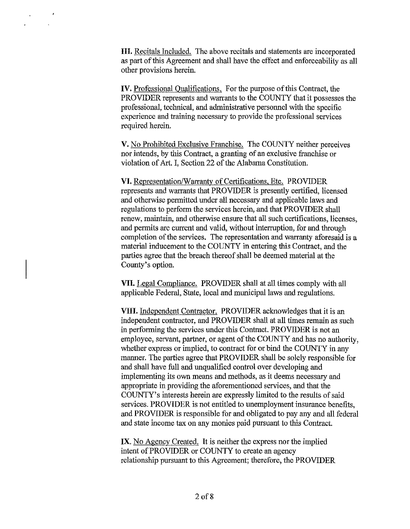HI. Recitals Included. The above recitals and statements are incorporated as part of this Agreement and shall have the effect and enforceability as all other provisions herein.

 $\mathcal{L}$ 

IV. Professional Qualifications. For the purpose of this Contract, the PROVIDER represents and warrants to the COUNTY that it possesses the professional, technical, and administrative personnel with the specific experience and training necessary to provide the professional services required herein.

V. No Prohibited Exclusive Franchise. The COUNTY neither perceives nor intends, by this Contract, a granting of an exclusive franchise or violation of Art. I, Section 22 of the Alabama Constitution.

VI. Representation/Warranty of Certifications, Etc. PROVIDER represents and wmants that PROVIDER is presently certified, licensed and otherwise permitted under all necessary and applicable laws and regulations to perform the services herein, and that PROVIDER shall renew, maintain, and otherwise ensure that all such certifications, licenses, and permits are current and valid, without interruption, for and through completion of the services. The representation and warranty aforesaid is a material inducement to the COUNTY in entering this Contract, and the parties agree that the breach thereof shall be deemed material at the County's option.

VII. Legal Compliance. PROVIDER shall at all times comply with all applicable Federal, State, local and municipal laws and regulations.

VIII. Independent Contractor. PROVIDER acknowledges that it is an independent contractor, and PROVIDER shall at all times remain as such in performing the services under this Contract. PROVIDER is not an employee, servant, partner, or agent of the COUNTY and has no authority, whether express or implied, to contract for or bind the COUNTY in any manner. The parties agree that PROVIDER shall be solely responsible for and shall have full and unqualified control over developing and implementing its own means and methods, as it deems necessary and appropriate in providing the aforementioned services, and that the COUNTY' s interests herein are expressly limited to the results of said services. PROVIDER is not entitled to unemployment insurance benefits, and PROVIDER is responsible for and obligated to pay any and all federal and state income tax on any monies paid pursuant to this Contract.

IX. No Agency Created. It is neither the express nor the implied intent of PROVIDER or COUNTY to create an agency relationship pursuant to this Agreement; therefore, the PROVIDER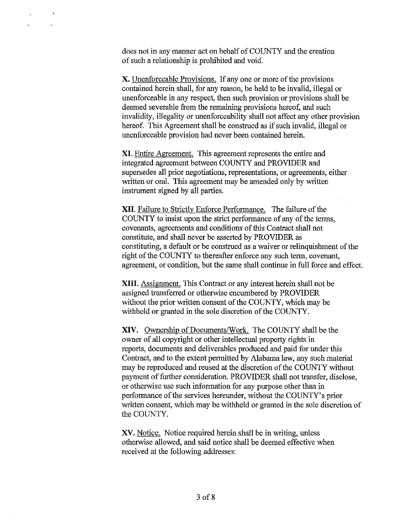does not in any manner act on behalf of COUNTY and the creation of such a relationship is prohibited and void.

 $\ddot{\phantom{a}}$ 

 $\tau_{\rm{B}}$ 

X. Unenforceable Provisions. If any one or more of the provisions contained herein shall, for any reason, be held to be invalid, illegal or unenforceable in any respect, then such provision or provisions shall be deemed severable from the remaining provisions hereof, and such invalidity, illegality or unenforceability shall not affect any other provision hereof. This Agreement shall be construed as if such invalid, illegal or unenforceable provision had never been contained herein.

XI. Entire Agreement. This agreement represents the entire and integrated agreement between COUNTY and PROVIDER and supersedes all prior negotiations, representations, or agreements, either written or oral. This agreement may be amended only by written instrument signed by all parties.

XII. Failure to Strictly Enforce Performance. The failure of the COUNTY to insist upon the strict performance of any of the terms, covenants, agreements and conditions of this Contract shall not constitute, and shall never be asserted by PROVIDER as constituting, a default or be construed as a waiver or relinquishment of the right of the COUNTY to thereafter enforce any such term, covenant, agreement, or condition, but the same shall continue in full force and effect.

XIII. Assignment. This Contract or any interest herein shall not be assigned transferred or otherwise encumbered by PROVIDER without the prior written consent of the COUNTY, which may be withheld or granted in the sole discretion of the COUNTY.

XIV. Ownership of Documents/Work. The COUNTY shall be the owner of all copyright or other intellectual property rights in reports, documents and deliverables produced and paid for under this Contract, and to the extent permitted by Alabama law, any such material may be reproduced and reused at the discretion of the COUNTY without payment of further consideration. PROVIDER shall not transfer, disclose, or otherwise use such information for any purpose other than in performance of the services hereunder, without the COUNTY's prior written consent, which may be withheld or granted in the sole discretion of the COUNTY.

XV. Notice. Notice required herein shall be in writing, unless otherwise allowed, and said notice shall be deemed effective when received at the following addresses: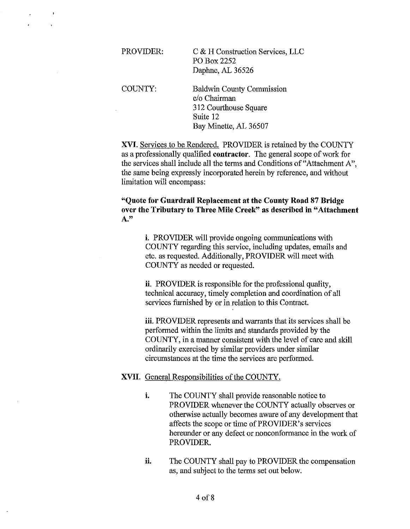PROVIDER: COUNTY: C & H Construction Services, LLC PO Box2252 Daphne, AL 36526 Baldwin County Commission

 $\ddot{\phantom{0}}$ 

c/o Chairman 312 Courthouse Square Suite 12 Bay Minette, AL 36507

XVI. Services to be Rendered. PROVIDER is retained by the COUNTY as a professionally qualified contractor. The general scope of work for the services shall include all the terms and Conditions of"Attachrnent A", the same being expressly incorporated herein by reference, and without limitation will encompass:

"Quote for Guardrail Replacement at the County Road 87 Bridge over the Tributary to Three Mile Creek" as described in "Attachment A."

> i. PROVIDER will provide ongoing communications with COUNTY regarding this service, including updates, emails and etc. as requested. Additionally, PROVIDER will meet with COUNTY as needed or requested.

ii. PROVIDER is responsible for the professional quality, technical accuracy, timely completion and coordination of all services furnished by or in relation to this Contract.

iii. PROVIDER represents and warrants that its services shall be performed within the limits and standards provided by the COUNTY, in a manner consistent with the level of care and skill ordinarily exercised by similar providers under similar circumstances at the time the services are performed.

#### XVII. General Responsibilities of the COUNTY.

- i. The COUNTY shall provide reasonable notice to PROVIDER whenever the COUNTY actually observes or otherwise actually becomes aware of any development that affects the scope or time of PROVIDER's services hereunder or any defect or nonconformance in the work of PROVIDER.
- ii. The COUNTY shall pay to PROVIDER the compensation as, and subject to the terms set out below.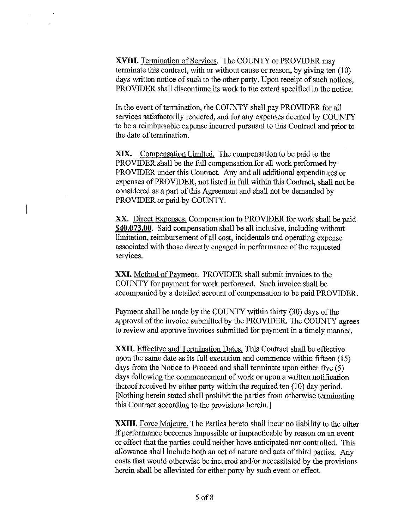XVIII. Termination of Services. The COUNTY or PROVIDER may terminate this contract, with or without cause or reason, by giving ten (10) days written notice of such to the other party. Upon receipt of such notices, PROVIDER shall discontinue its work to the extent specified in the notice.

In the event of termination, the COUNTY shall pay PROVIDER for all services satisfactorily rendered, and for any expenses deemed by COUNTY to be a reimbursable expense incurred pursuant to this Contract and prior to the date of termination.

XIX. Compensation Limited. The compensation to be paid to the PROVIDER shall be the full compensation for all work performed by PROVIDER under this Contract. Any and all additional expenditures or expenses of PROVIDER, not listed in full within this Contract, shall not be considered as a part of this Agreement and shall not be demanded by PROVIDER or paid by COUNTY.

XX. Direct Expenses. Compensation to PROVIDER for work shall be paid **\$40,073.00.** Said compensation shall be all inclusive, including without limitation, reimbursement of all cost, incidentals and operating expense associated with those directly engaged in performance of the requested services.

XXI. Method of Payment. PROVIDER shall submit invoices to the COUNTY for payment for work performed. Such invoice shall be accompanied by a detailed account of compensation to be paid PROVIDER.

Payment shall be made by the COUNTY within thirty (30) days of the approval of the invoice submitted by the PROVIDER. The COUNTY agrees to review and approve invoices submitted for payment in a timely manner.

XXII. Effective and Termination Dates. This Contract shall be effective upon the same date as its full execution and commence within fifteen (15) days from the Notice to Proceed and shall terminate upon either five (5) days following the commencement of work or upon a written notification thereof received by either party within the required ten (10) day period. [Nothing herein stated shall prohibit the parties from otherwise terminating this Contract according to the provisions herein.]

XXIII. Force Majeure. The Parties hereto shall incur no liability to the other if performance becomes impossible or impracticable by reason on an event or effect that the parties could neither have anticipated nor controlled. This allowance shall include both an act of nature and acts of third parties. Any costs that would otherwise be incurred and/or necessitated by the provisions herein shall be alleviated for either party by such event or effect.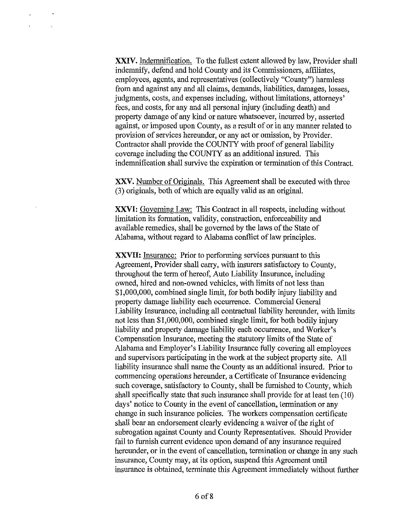XXIV. Indemnification. To the fullest extent allowed by law, Provider shall indemnify, defend and hold County and its Commissioners, affiliates, employees, agents, and representatives (collectively "County") harmless from and against any and all claims, demands, liabilities, damages, losses, judgments, costs, and expenses including, without limitations, attorneys' fees, and costs, for any and all personal injury (including death) and property damage of any kind or nature whatsoever, incurred by, asserted against, or imposed upon County, as a result of or in any manner related to provision of services hereunder, or any act or omission, by Provider. Contractor shall provide the COUNTY with proof of general liability coverage including the COUNTY as an additional insured. This indemnification shall survive the expiration or termination of this Contract.

XXV. Number of Originals. This Agreement shall be executed with three (3) originals, both of which are equally valid as an original.

XXVI: Governing Law: This Contract in all respects, including without limitation its formation, validity, construction, enforceability and available remedies, shall be governed by the laws of the State of Alabama, without regard to Alabama conflict of law principles.

XXVU: Insurance: Prior to performing services pursuant to this Agreement, Provider shall carry, with insurers satisfactory to County, throughout the term of hereof, Auto Liability Insurance, including owned, hired and non-owned vehicles, with limits of not less than \$1,000,000, combined single limit, for both bodily injury liability and property damage liability each occurrence. Commercial General Liability Insurance, including all contractual liability hereunder, with limits not less than \$1,000,000, combined single limit, for both bodily injury liability and property damage liability each occurrence, and Worker's Compensation Insurance, meeting the statutory limits of the State of Alabama and Employer's Liability Insurance fully covering all employees and supervisors participating in the work at the subject property site. All liability insurance shall name the County as an additional insured. Prior to commencing operations hereunder, a Certificate of Insurance evidencing such coverage, satisfactory to County, shall be furnished to County, which shall specifically state that such insurance shall provide for at least ten (10) days' notice to County in the event of cancellation, termination or any change in such insurance policies. The workers compensation certificate shall bear an endorsement clearly evidencing a waiver of the right of subrogation against County and County Representatives. Should Provider fail to furnish current evidence upon demand of any insurance required hereunder, or in the event of cancellation, termination or change in any such insurance, County may, at its option, suspend this Agreement until insurance is obtained, terminate this Agreement immediately without further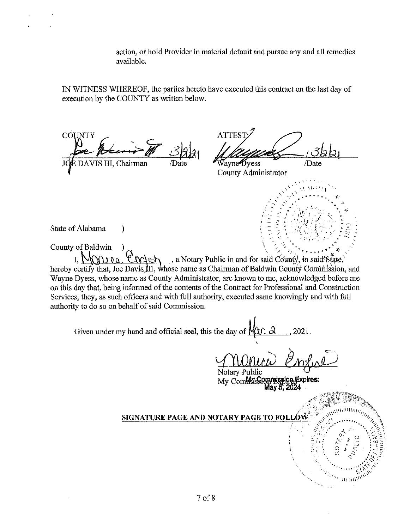action, or hold Provider in material default and pursue any and all remedies available.

IN WITNESS WHEREOF, the parties hereto have executed this contract on the last day of execution by the COUNTY as written below.

COU DAVIS III, Chairman

**ATTES** Ñavne∰vess /Date

 $\sim \frac{1}{\sqrt{2}}$ 

,'' .,\' ...... ~~~ J!\· .... -~ ... '- " "',, :J. /- ·~ ..\_ "" . ' ' .":. '.. ~ o J,iL

County Administrator \ l' •

State of Alabama ) :<br> $\begin{pmatrix} \frac{1}{2} & \frac{1}{2} & \frac{1}{2} & \frac{1}{2} \\ \frac{1}{2} & \frac{1}{2} & \frac{1}{2} & \frac{1}{2} \\ \frac{1}{2} & \frac{1}{2} & \frac{1}{2} & \frac{1}{2} \end{pmatrix}$ 

County of Baldwin

 $\lambda \lambda \lambda \lambda$ .  $\lambda \lambda$   $\lambda$   $\lambda$   $\lambda$   $\lambda$  a Notary Public in and for said County, in said State, hereby certify that, Joe Davis III, whose name as Chairman of Baldwin County Commission, and Wayne Dyess, whose name as County Administrator, are known to me, acknowledged before me on this day that, being informed of the contents of the Contract for Professional and Construction Services, they, as such officers and with full authority, executed same knowingly and with full authority to do so on behalf of said Commission.<br>Given under my hand and official seal, this the day of  $\sqrt{(11 \cdot \text{A})}$ , 2021 authority to do so on behalf of said Commission.

Notary Public My Commission Expires:<br>May 5, 2024

## SIGNATURE PAGE AND NOTARY PAGE TO FOL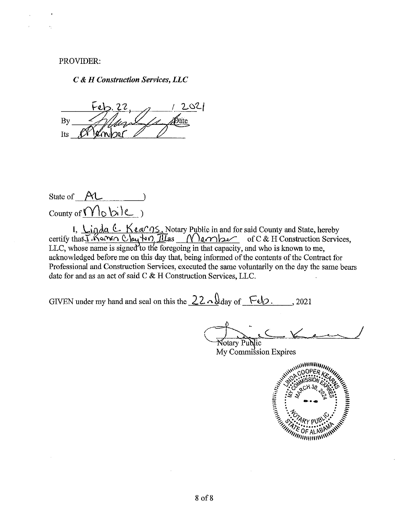PROVIDER:

#### *C* & *H Construction Services, LLC*

2021  $\overline{A}$   $\overline{A}$   $\overline{A}$   $\overline{A}$   $\overline{A}$   $\overline{A}$   $\overline{A}$   $\overline{A}$   $\overline{A}$   $\overline{A}$   $\overline{A}$   $\overline{A}$   $\overline{A}$   $\overline{A}$   $\overline{A}$   $\overline{A}$   $\overline{A}$   $\overline{A}$   $\overline{A}$   $\overline{A}$   $\overline{A}$   $\overline{A}$   $\overline{A}$   $\overline{A}$   $\overline{$  $\frac{1}{118}$   $\frac{1}{21}$   $\frac{1}{21}$   $\frac{1}{21}$   $\frac{1}{21}$ 

State of  $\Lambda$  $\text{Country of } \overbrace{\text{Nlo bi}}$ 

I, Ligda & Keargs, Notary Public in and for said County and State, hereby certify than *I* Kamin Clay to MI IIIas <u>Nember</u> of C & H Construction Services,  $LLC$ , whose name is signed to the foregoing in that capacity, and who is known to me, acknowledged before me on this day that, being informed of the contents of the Contract for Professional and Construction Services, executed the same voluntarily on the day the same bears date for and as an act of said C & H Construction Services, LLC.

GIVEN under my hand and seal on this the  $22 \cdot \sqrt{\frac{3}{\text{day of } + \text{y}}}$ , 2021

Notary Public

My Commission Expires